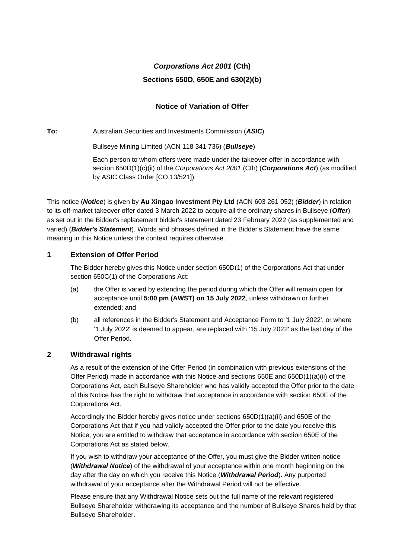# *Corporations Act 2001* **(Cth) Sections 650D, 650E and 630(2)(b)**

## **Notice of Variation of Offer**

**To:** Australian Securities and Investments Commission (*ASIC*)

Bullseye Mining Limited (ACN 118 341 736) (*Bullseye*)

Each person to whom offers were made under the takeover offer in accordance with section 650D(1)(c)(ii) of the *Corporations Act 2001* (Cth) (*Corporations Act*) (as modified by ASIC Class Order [CO 13/521])

This notice (*Notice*) is given by **Au Xingao Investment Pty Ltd** (ACN 603 261 052) (*Bidder*) in relation to its off-market takeover offer dated 3 March 2022 to acquire all the ordinary shares in Bullseye (*Offer*) as set out in the Bidder's replacement bidder's statement dated 23 February 2022 (as supplemented and varied) (*Bidder's Statement*). Words and phrases defined in the Bidder's Statement have the same meaning in this Notice unless the context requires otherwise.

### **1 Extension of Offer Period**

The Bidder hereby gives this Notice under section 650D(1) of the Corporations Act that under section 650C(1) of the Corporations Act:

- (a) the Offer is varied by extending the period during which the Offer will remain open for acceptance until **5:00 pm (AWST) on 15 July 2022**, unless withdrawn or further extended; and
- (b) all references in the Bidder's Statement and Acceptance Form to '1 July 2022', or where '1 July 2022' is deemed to appear, are replaced with '15 July 2022' as the last day of the Offer Period.

#### **2 Withdrawal rights**

As a result of the extension of the Offer Period (in combination with previous extensions of the Offer Period) made in accordance with this Notice and sections 650E and 650D(1)(a)(ii) of the Corporations Act, each Bullseye Shareholder who has validly accepted the Offer prior to the date of this Notice has the right to withdraw that acceptance in accordance with section 650E of the Corporations Act.

Accordingly the Bidder hereby gives notice under sections 650D(1)(a)(ii) and 650E of the Corporations Act that if you had validly accepted the Offer prior to the date you receive this Notice, you are entitled to withdraw that acceptance in accordance with section 650E of the Corporations Act as stated below.

If you wish to withdraw your acceptance of the Offer, you must give the Bidder written notice (*Withdrawal Notice*) of the withdrawal of your acceptance within one month beginning on the day after the day on which you receive this Notice (*Withdrawal Period*). Any purported withdrawal of your acceptance after the Withdrawal Period will not be effective.

Please ensure that any Withdrawal Notice sets out the full name of the relevant registered Bullseye Shareholder withdrawing its acceptance and the number of Bullseye Shares held by that Bullseye Shareholder.